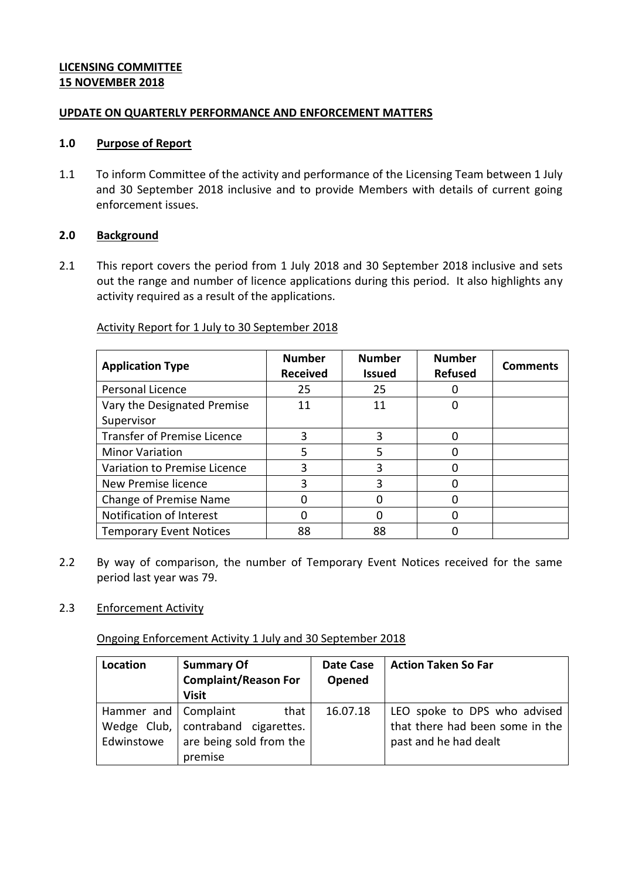# **LICENSING COMMITTEE 15 NOVEMBER 2018**

### **UPDATE ON QUARTERLY PERFORMANCE AND ENFORCEMENT MATTERS**

### **1.0 Purpose of Report**

1.1 To inform Committee of the activity and performance of the Licensing Team between 1 July and 30 September 2018 inclusive and to provide Members with details of current going enforcement issues.

# **2.0 Background**

2.1 This report covers the period from 1 July 2018 and 30 September 2018 inclusive and sets out the range and number of licence applications during this period. It also highlights any activity required as a result of the applications.

#### **Application Type Number Number Received Number Issued Number Refused Comments** Personal Licence 25 25 0 Vary the Designated Premise Supervisor 11 0 Transfer of Premise Licence  $\begin{array}{ccc} | & 3 & | & 3 \\ \end{array}$  3 Minor Variation 1 5 1 5 0 Variation to Premise Licence | 3 | 3 | 0 New Premise licence 3 3 0 Change of Premise Name  $\begin{array}{cccc} | & 0 & | & 0 \\ \end{array}$  0 0 0 Notification of Interest  $\begin{array}{cccc} | & 0 & | & 0 \\ \end{array}$  0 0 0 Temporary Event Notices | 88 | 88 | 0

# Activity Report for 1 July to 30 September 2018

2.2 By way of comparison, the number of Temporary Event Notices received for the same period last year was 79.

# 2.3 Enforcement Activity

Ongoing Enforcement Activity 1 July and 30 September 2018

| Location                             | <b>Summary Of</b><br><b>Complaint/Reason For</b><br><b>Visit</b>                     | <b>Date Case</b><br>Opened | <b>Action Taken So Far</b>                                                               |
|--------------------------------------|--------------------------------------------------------------------------------------|----------------------------|------------------------------------------------------------------------------------------|
| Hammer and   Complaint<br>Edwinstowe | that I<br>Wedge Club,   contraband cigarettes.<br>are being sold from the<br>premise | 16.07.18                   | LEO spoke to DPS who advised<br>that there had been some in the<br>past and he had dealt |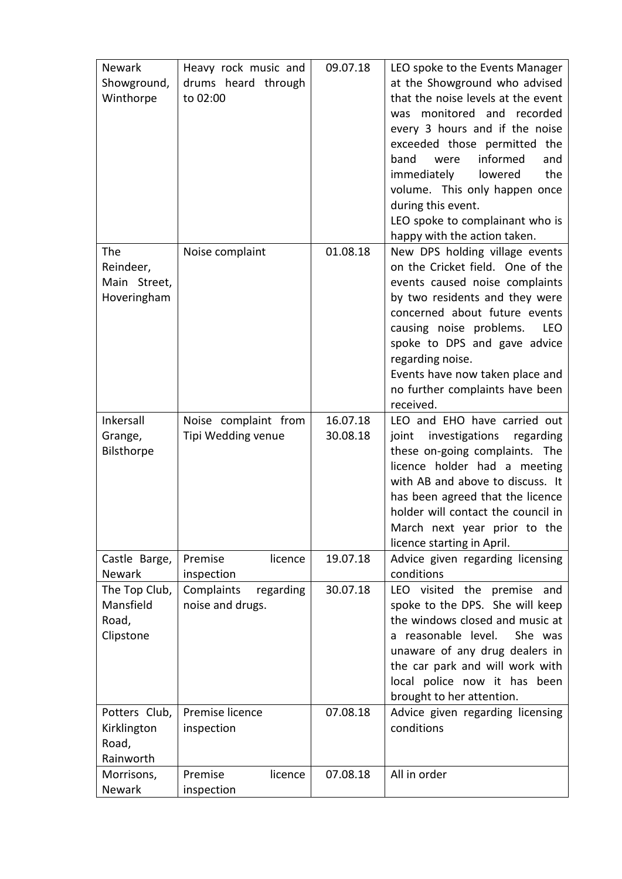| <b>Newark</b> | Heavy rock music and    | 09.07.18 | LEO spoke to the Events Manager       |
|---------------|-------------------------|----------|---------------------------------------|
| Showground,   | drums heard through     |          | at the Showground who advised         |
| Winthorpe     | to 02:00                |          | that the noise levels at the event    |
|               |                         |          | monitored and recorded<br>was         |
|               |                         |          | every 3 hours and if the noise        |
|               |                         |          | exceeded those permitted the          |
|               |                         |          | informed<br>band<br>were<br>and       |
|               |                         |          | immediately<br>lowered<br>the         |
|               |                         |          | volume. This only happen once         |
|               |                         |          | during this event.                    |
|               |                         |          | LEO spoke to complainant who is       |
|               |                         |          | happy with the action taken.          |
| The           | Noise complaint         | 01.08.18 | New DPS holding village events        |
| Reindeer,     |                         |          | on the Cricket field. One of the      |
| Main Street,  |                         |          | events caused noise complaints        |
| Hoveringham   |                         |          | by two residents and they were        |
|               |                         |          | concerned about future events         |
|               |                         |          | causing noise problems.<br><b>LEO</b> |
|               |                         |          | spoke to DPS and gave advice          |
|               |                         |          | regarding noise.                      |
|               |                         |          | Events have now taken place and       |
|               |                         |          | no further complaints have been       |
|               |                         |          | received.                             |
| Inkersall     | Noise complaint from    | 16.07.18 | LEO and EHO have carried out          |
| Grange,       | Tipi Wedding venue      | 30.08.18 | investigations<br>joint<br>regarding  |
| Bilsthorpe    |                         |          | these on-going complaints. The        |
|               |                         |          | licence holder had a meeting          |
|               |                         |          | with AB and above to discuss. It      |
|               |                         |          | has been agreed that the licence      |
|               |                         |          | holder will contact the council in    |
|               |                         |          | March next year prior to the          |
|               |                         |          | licence starting in April.            |
| Castle Barge, | Premise<br>licence      | 19.07.18 | Advice given regarding licensing      |
| <b>Newark</b> | inspection              |          | conditions                            |
| The Top Club, | Complaints<br>regarding | 30.07.18 | LEO visited the<br>premise<br>and     |
| Mansfield     | noise and drugs.        |          | spoke to the DPS. She will keep       |
| Road,         |                         |          | the windows closed and music at       |
| Clipstone     |                         |          | a reasonable level.<br>She was        |
|               |                         |          | unaware of any drug dealers in        |
|               |                         |          | the car park and will work with       |
|               |                         |          | local police now it has been          |
|               |                         |          | brought to her attention.             |
| Potters Club, | Premise licence         | 07.08.18 | Advice given regarding licensing      |
| Kirklington   | inspection              |          | conditions                            |
| Road,         |                         |          |                                       |
| Rainworth     |                         |          |                                       |
| Morrisons,    | Premise<br>licence      | 07.08.18 | All in order                          |
| Newark        | inspection              |          |                                       |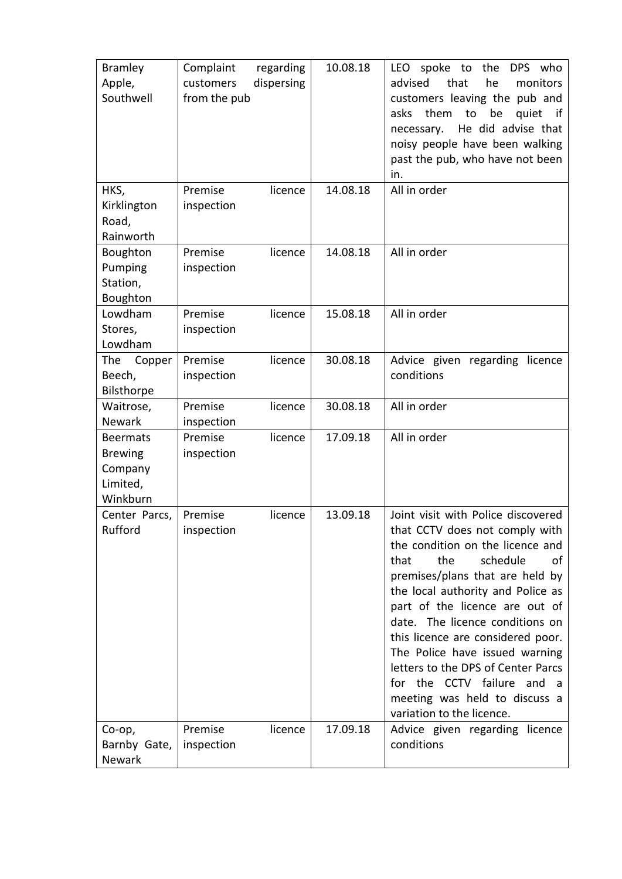| <b>Bramley</b>      | Complaint<br>regarding  | 10.08.18 | spoke to<br><b>LEO</b><br>the<br>DPS who |
|---------------------|-------------------------|----------|------------------------------------------|
| Apple,              | dispersing<br>customers |          | that<br>advised<br>he<br>monitors        |
| Southwell           | from the pub            |          | customers leaving the pub and            |
|                     |                         |          | them<br>be<br>asks<br>to<br>quiet<br>-if |
|                     |                         |          | He did advise that<br>necessary.         |
|                     |                         |          | noisy people have been walking           |
|                     |                         |          | past the pub, who have not been          |
|                     |                         |          | in.                                      |
| HKS,                | Premise<br>licence      | 14.08.18 | All in order                             |
| Kirklington         | inspection              |          |                                          |
| Road,               |                         |          |                                          |
| Rainworth           |                         |          |                                          |
| Boughton            | Premise<br>licence      | 14.08.18 | All in order                             |
| Pumping             | inspection              |          |                                          |
| Station,            |                         |          |                                          |
| Boughton            |                         |          |                                          |
| Lowdham             | Premise<br>licence      | 15.08.18 | All in order                             |
| Stores,             | inspection              |          |                                          |
| Lowdham             |                         |          |                                          |
| The<br>Copper       | licence<br>Premise      | 30.08.18 | Advice given<br>regarding<br>licence     |
| Beech,              | inspection              |          | conditions                               |
| Bilsthorpe          |                         |          |                                          |
| Waitrose,           | Premise<br>licence      | 30.08.18 | All in order                             |
| Newark              | inspection              |          | All in order                             |
| <b>Beermats</b>     | Premise<br>licence      | 17.09.18 |                                          |
| <b>Brewing</b>      | inspection              |          |                                          |
| Company<br>Limited, |                         |          |                                          |
| Winkburn            |                         |          |                                          |
| Center Parcs,       | Premise<br>licence      | 13.09.18 | Joint visit with Police discovered       |
| Rufford             | inspection              |          | that CCTV does not comply with           |
|                     |                         |          | the condition on the licence and         |
|                     |                         |          | the<br>schedule<br>that<br>οf            |
|                     |                         |          | premises/plans that are held by          |
|                     |                         |          | the local authority and Police as        |
|                     |                         |          | part of the licence are out of           |
|                     |                         |          | date. The licence conditions on          |
|                     |                         |          | this licence are considered poor.        |
|                     |                         |          | The Police have issued warning           |
|                     |                         |          | letters to the DPS of Center Parcs       |
|                     |                         |          | for the CCTV failure and a               |
|                     |                         |          | meeting was held to discuss a            |
|                     |                         |          | variation to the licence.                |
| Co-op,              | Premise<br>licence      | 17.09.18 | Advice given regarding licence           |
| Barnby Gate,        | inspection              |          | conditions                               |
| Newark              |                         |          |                                          |